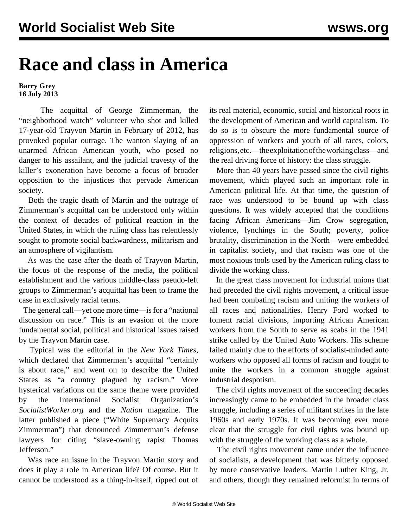## **Race and class in America**

**Barry Grey 16 July 2013**

 The acquittal of George Zimmerman, the "neighborhood watch" volunteer who shot and killed 17-year-old Trayvon Martin in February of 2012, has provoked popular outrage. The wanton slaying of an unarmed African American youth, who posed no danger to his assailant, and the judicial travesty of the killer's exoneration have become a focus of broader opposition to the injustices that pervade American society.

 Both the tragic death of Martin and the outrage of Zimmerman's acquittal can be understood only within the context of decades of political reaction in the United States, in which the ruling class has relentlessly sought to promote social backwardness, militarism and an atmosphere of vigilantism.

 As was the case after the death of Trayvon Martin, the focus of the response of the media, the political establishment and the various middle-class pseudo-left groups to Zimmerman's acquittal has been to frame the case in exclusively racial terms.

 The general call—yet one more time—is for a "national discussion on race." This is an evasion of the more fundamental social, political and historical issues raised by the Trayvon Martin case.

 Typical was the editorial in the *New York Times*, which declared that Zimmerman's acquittal "certainly is about race," and went on to describe the United States as "a country plagued by racism." More hysterical variations on the same theme were provided by the International Socialist Organization's *SocialistWorker.org* and the *Nation* magazine. The latter published a piece ("White Supremacy Acquits Zimmerman") that denounced Zimmerman's defense lawyers for citing "slave-owning rapist Thomas Jefferson."

 Was race an issue in the Trayvon Martin story and does it play a role in American life? Of course. But it cannot be understood as a thing-in-itself, ripped out of its real material, economic, social and historical roots in the development of American and world capitalism. To do so is to obscure the more fundamental source of oppression of workers and youth of all races, colors, religions, etc.—the exploitation of the working class—and the real driving force of history: the class struggle.

 More than 40 years have passed since the civil rights movement, which played such an important role in American political life. At that time, the question of race was understood to be bound up with class questions. It was widely accepted that the conditions facing African Americans—Jim Crow segregation, violence, lynchings in the South; poverty, police brutality, discrimination in the North—were embedded in capitalist society, and that racism was one of the most noxious tools used by the American ruling class to divide the working class.

 In the great class movement for industrial unions that had preceded the civil rights movement, a critical issue had been combating racism and uniting the workers of all races and nationalities. Henry Ford worked to foment racial divisions, importing African American workers from the South to serve as scabs in the 1941 strike called by the United Auto Workers. His scheme failed mainly due to the efforts of socialist-minded auto workers who opposed all forms of racism and fought to unite the workers in a common struggle against industrial despotism.

 The civil rights movement of the succeeding decades increasingly came to be embedded in the broader class struggle, including a series of militant strikes in the late 1960s and early 1970s. It was becoming ever more clear that the struggle for civil rights was bound up with the struggle of the working class as a whole.

 The civil rights movement came under the influence of socialists, a development that was bitterly opposed by more conservative leaders. Martin Luther King, Jr. and others, though they remained reformist in terms of